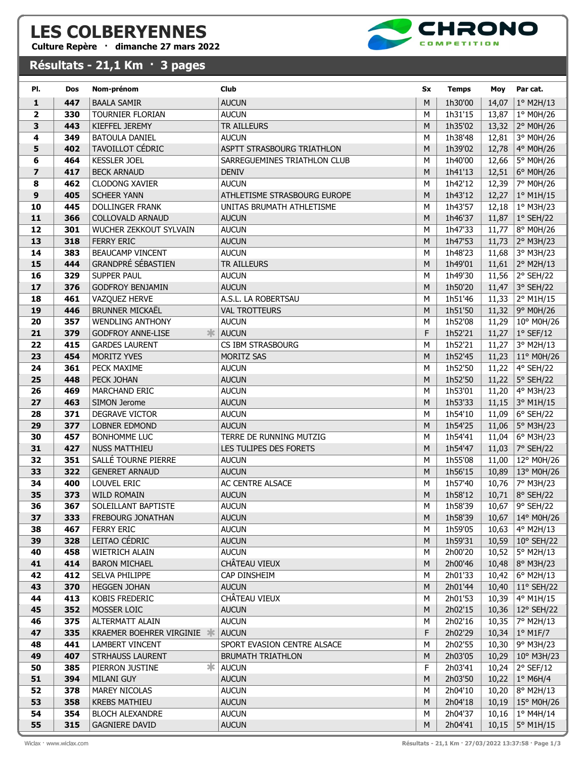## LES COLBERYENNES

Culture Repère · dimanche 27 mars 2022

## Résultats - 21,1 Km · 3 pages



| PI.            | <b>Dos</b> | Nom-prénom                           | <b>Club</b>                             | Sx     | <b>Temps</b>       | Moy            | Par cat.               |
|----------------|------------|--------------------------------------|-----------------------------------------|--------|--------------------|----------------|------------------------|
| 1              | 447        | <b>BAALA SAMIR</b>                   | <b>AUCUN</b>                            | M      | 1h30'00            | 14,07          | $1°$ M2H/13            |
| 2              | 330        | <b>TOURNIER FLORIAN</b>              | <b>AUCUN</b>                            | M      | 1h31'15            | 13,87          | 1° M0H/26              |
| 3              | 443        | KIEFFEL JEREMY                       | <b>TR AILLEURS</b>                      | M      | 1h35'02            | 13,32          | 2° M0H/26              |
| 4              | 349        | <b>BATOULA DANIEL</b>                | <b>AUCUN</b>                            | M      | 1h38'48            | 12,81          | 3° M0H/26              |
| 5              | 402        | TAVOILLOT CÉDRIC                     | ASPTT STRASBOURG TRIATHLON              | M      | 1h39'02            | 12,78          | 4° M0H/26              |
| 6              | 464        | <b>KESSLER JOEL</b>                  | SARREGUEMINES TRIATHLON CLUB            | M      | 1h40'00            | 12,66          | 5° M0H/26              |
| $\overline{z}$ | 417        | <b>BECK ARNAUD</b>                   | <b>DENIV</b>                            | M      | 1h41'13            | 12,51          | 6° M0H/26              |
| 8              | 462        | <b>CLODONG XAVIER</b>                | <b>AUCUN</b>                            | M      | 1h42'12            | 12,39          | 7° M0H/26              |
| 9              | 405        | <b>SCHEER YANN</b>                   | ATHLETISME STRASBOURG EUROPE            | M      | 1h43'12            | 12,27          | 1º M1H/15              |
| 10             | 445        | <b>DOLLINGER FRANK</b>               | UNITAS BRUMATH ATHLETISME               | M      | 1h43'57            | 12,18          | 1º M3H/23              |
| 11             | 366        | <b>COLLOVALD ARNAUD</b>              | <b>AUCUN</b>                            | M      | 1h46'37            | 11,87          | 1° SEH/22              |
| 12             | 301        | WUCHER ZEKKOUT SYLVAIN               | <b>AUCUN</b>                            | M      | 1h47'33            | 11,77          | 8° M0H/26              |
| 13             | 318        | <b>FERRY ERIC</b>                    | <b>AUCUN</b>                            | M      | 1h47'53            | 11,73          | 2° M3H/23              |
| 14             | 383        | <b>BEAUCAMP VINCENT</b>              | <b>AUCUN</b>                            | M      | 1h48'23            | 11,68          | 3° M3H/23              |
| 15             | 444        | <b>GRANDPRÉ SÉBASTIEN</b>            | TR AILLEURS                             | M      | 1h49'01            | 11,61          | 2° M2H/13              |
| 16             | 329        | SUPPER PAUL                          | <b>AUCUN</b>                            | M      | 1h49'30            | 11,56          | 2° SEH/22              |
| 17             | 376        | <b>GODFROY BENJAMIN</b>              | <b>AUCUN</b>                            | M      | 1h50'20            | 11,47          | 3° SEH/22              |
| 18             | 461        | VAZQUEZ HERVE                        | A.S.L. LA ROBERTSAU                     | M      | 1h51'46            | 11,33          | 2° M1H/15              |
| 19             | 446        | <b>BRUNNER MICKAËL</b>               | <b>VAL TROTTEURS</b>                    | M      | 1h51'50            | 11,32          | 9° M0H/26              |
| 20             | 357        | <b>WENDLING ANTHONY</b>              | <b>AUCUN</b>                            | M      | 1h52'08            | 11,29          | 10° M0H/26             |
| 21             | 379        | <b>GODFROY ANNE-LISE</b><br>氺        | <b>AUCUN</b>                            | F      | 1h52'21            | 11,27          | $1°$ SEF/12            |
| 22             | 415        | <b>GARDES LAURENT</b>                | CS IBM STRASBOURG                       | М      | 1h52'21            | 11,27          | 3° M2H/13              |
| 23             | 454        | MORITZ YVES                          | MORITZ SAS                              | M      | 1h52'45            | 11,23          | 11° M0H/26             |
| 24             | 361        | PECK MAXIME                          | <b>AUCUN</b>                            | M      | 1h52'50            | 11,22          | 4° SEH/22              |
| 25             | 448        | PECK JOHAN                           | <b>AUCUN</b>                            | M      | 1h52'50            | 11,22          | 5° SEH/22              |
| 26             | 469        | <b>MARCHAND ERIC</b>                 | <b>AUCUN</b>                            | M      | 1h53'01            | 11,20          | 4° M3H/23              |
| 27             | 463        | SIMON Jerome                         | <b>AUCUN</b>                            | M      | 1h53'33            | 11,15          | 3° M1H/15              |
| 28             | 371        | DEGRAVE VICTOR                       | <b>AUCUN</b>                            | M      | 1h54'10            | 11,09          | 6° SEH/22              |
| 29<br>30       | 377<br>457 | LOBNER EDMOND<br><b>BONHOMME LUC</b> | <b>AUCUN</b><br>TERRE DE RUNNING MUTZIG | M<br>M | 1h54'25<br>1h54'41 | 11,06          | 5° M3H/23              |
| 31             | 427        | <b>NUSS MATTHIEU</b>                 | LES TULIPES DES FORETS                  | M      | 1h54'47            | 11,04          | 6° M3H/23<br>7° SEH/22 |
| 32             | 351        | SALLÉ TOURNE PIERRE                  | <b>AUCUN</b>                            | M      | 1h55'08            | 11,03<br>11,00 | 12° M0H/26             |
| 33             | 322        | <b>GENERET ARNAUD</b>                | <b>AUCUN</b>                            | M      | 1h56'15            | 10,89          | 13° M0H/26             |
| 34             | 400        | LOUVEL ERIC                          | AC CENTRE ALSACE                        | М      | 1h57'40            | 10,76          | 7° M3H/23              |
| 35             | 373        | <b>WILD ROMAIN</b>                   | <b>AUCUN</b>                            | M      | 1h58'12            | 10,71          | 8° SEH/22              |
| 36             | 367        | SOLEILLANT BAPTISTE                  | <b>AUCUN</b>                            | М      | 1h58'39            | 10,67          | 9° SEH/22              |
| 37             | 333        | <b>FREBOURG JONATHAN</b>             | <b>AUCUN</b>                            | M      | 1h58'39            | 10,67          | 14° M0H/26             |
| 38             | 467        | <b>FERRY ERIC</b>                    | <b>AUCUN</b>                            | М      | 1h59'05            | 10,63          | 4° M2H/13              |
| 39             | 328        | LEITAO CÉDRIC                        | <b>AUCUN</b>                            | M      | 1h59'31            | 10,59          | 10° SEH/22             |
| 40             | 458        | <b>WIETRICH ALAIN</b>                | <b>AUCUN</b>                            | м      | 2h00'20            | 10,52          | 5° M2H/13              |
| 41             | 414        | <b>BARON MICHAEL</b>                 | CHÂTEAU VIEUX                           | M      | 2h00'46            | 10,48          | 8° M3H/23              |
| 42             | 412        | <b>SELVA PHILIPPE</b>                | CAP DINSHEIM                            | М      | 2h01'33            | 10,42          | 6° M2H/13              |
| 43             | 370        | <b>HEGGEN JOHAN</b>                  | <b>AUCUN</b>                            | M      | 2h01'44            | 10,40          | 11° SEH/22             |
| 44             | 413        | KOBIS FREDERIC                       | CHÂTEAU VIEUX                           | М      | 2h01'53            | 10,39          | 4° M1H/15              |
| 45             | 352        | MOSSER LOIC                          | <b>AUCUN</b>                            | M      | 2h02'15            | 10,36          | 12° SEH/22             |
| 46             | 375        | <b>ALTERMATT ALAIN</b>               | <b>AUCUN</b>                            | М      | 2h02'16            | 10,35          | 7° M2H/13              |
| 47             | 335        | KRAEMER BOEHRER VIRGINIE             | <b>AUCUN</b>                            | F      | 2h02'29            | 10,34          | $1^\circ$ M1F/7        |
| 48             | 441        | <b>LAMBERT VINCENT</b>               | SPORT EVASION CENTRE ALSACE             | М      | 2h02'55            | 10,30          | 9° M3H/23              |
| 49             | 407        | STRHAUSS LAURENT                     | <b>BRUMATH TRIATHLON</b>                | M      | 2h03'05            | 10,29          | 10° M3H/23             |
| 50             | 385        | ∗<br>PIERRON JUSTINE                 | <b>AUCUN</b>                            | F      | 2h03'41            | 10,24          | $2°$ SEF/12            |
| 51             | 394        | MILANI GUY                           | <b>AUCUN</b>                            | M      | 2h03'50            | 10,22          | $1°$ M6H/4             |
| 52             | 378        | MAREY NICOLAS                        | <b>AUCUN</b>                            | М      | 2h04'10            | 10,20          | 8° M2H/13              |
| 53             | 358        | <b>KREBS MATHIEU</b>                 | <b>AUCUN</b>                            | M      | 2h04'18            | 10,19          | 15° M0H/26             |
| 54             | 354        | <b>BLOCH ALEXANDRE</b>               | <b>AUCUN</b>                            | М      | 2h04'37            | 10,16          | 1° M4H/14              |
| 55             | 315        | <b>GAGNIERE DAVID</b>                | <b>AUCUN</b>                            | М      | 2h04'41            | 10,15          | 5° M1H/15              |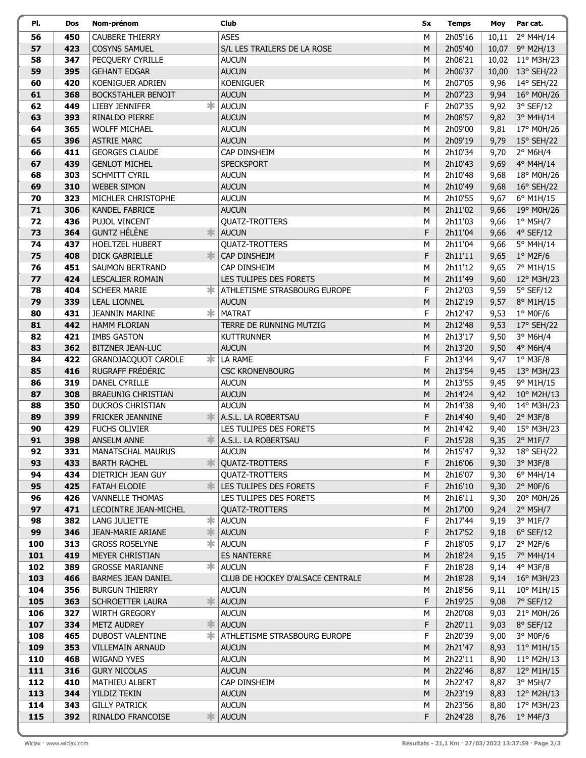| PI. | Dos | Nom-prénom                       | Club                             | Sx | <b>Temps</b> | Moy   | Par cat.            |
|-----|-----|----------------------------------|----------------------------------|----|--------------|-------|---------------------|
| 56  | 450 | <b>CAUBERE THIERRY</b>           | <b>ASES</b>                      | M  | 2h05'16      | 10,11 | 2° M4H/14           |
| 57  | 423 | <b>COSYNS SAMUEL</b>             | S/L LES TRAILERS DE LA ROSE      | M  | 2h05'40      | 10,07 | 9° M2H/13           |
| 58  | 347 | PECQUERY CYRILLE                 | <b>AUCUN</b>                     | M  | 2h06'21      | 10,02 | 11° M3H/23          |
| 59  | 395 | <b>GEHANT EDGAR</b>              | <b>AUCUN</b>                     | M  | 2h06'37      | 10,00 | 13° SEH/22          |
| 60  | 420 | KOENIGUER ADRIEN                 | <b>KOENIGUER</b>                 | M  | 2h07'05      | 9,96  | 14° SEH/22          |
| 61  | 368 | <b>BOCKSTAHLER BENOIT</b>        | <b>AUCUN</b>                     | M  | 2h07'23      | 9,94  | 16° M0H/26          |
| 62  | 449 | LIEBY JENNIFER<br>ж              | <b>AUCUN</b>                     | F  | 2h07'35      | 9,92  | 3° SEF/12           |
| 63  | 393 | RINALDO PIERRE                   | <b>AUCUN</b>                     | M  | 2h08'57      | 9,82  | 3° M4H/14           |
| 64  | 365 | <b>WOLFF MICHAEL</b>             | <b>AUCUN</b>                     | M  | 2h09'00      | 9,81  | 17° M0H/26          |
| 65  | 396 | <b>ASTRIE MARC</b>               | <b>AUCUN</b>                     | M  | 2h09'19      | 9,79  | $15^{\circ}$ SEH/22 |
| 66  | 411 | <b>GEORGES CLAUDE</b>            | CAP DINSHEIM                     | M  | 2h10'34      | 9,70  | $2°$ M6H/4          |
| 67  | 439 | <b>GENLOT MICHEL</b>             | <b>SPECKSPORT</b>                | M  | 2h10'43      | 9,69  | 4° M4H/14           |
| 68  | 303 | SCHMITT CYRIL                    | <b>AUCUN</b>                     | M  | 2h10'48      | 9,68  | 18° M0H/26          |
| 69  | 310 | <b>WEBER SIMON</b>               | <b>AUCUN</b>                     | M  | 2h10'49      | 9,68  | 16° SEH/22          |
| 70  | 323 | MICHLER CHRISTOPHE               | <b>AUCUN</b>                     | M  | 2h10'55      | 9,67  | 6° M1H/15           |
| 71  | 306 | KANDEL FABRICE                   | <b>AUCUN</b>                     | M  | 2h11'02      | 9,66  | 19° M0H/26          |
| 72  | 436 | PUJOL VINCENT                    | <b>QUATZ-TROTTERS</b>            | M  | 2h11'03      | 9,66  | 1° M5H/7            |
| 73  | 364 | <b>GUNTZ HÉLÈNE</b><br>氺         | <b>AUCUN</b>                     | F  | 2h11'04      | 9,66  | 4° SEF/12           |
| 74  | 437 | HOELTZEL HUBERT                  | <b>QUATZ-TROTTERS</b>            | M  | 2h11'04      | 9,66  | 5° M4H/14           |
| 75  | 408 | <b>DICK GABRIELLE</b>            | CAP DINSHEIM                     | F  | 2h11'11      | 9,65  | $1^\circ$ M2F/6     |
| 76  | 451 | <b>SAUMON BERTRAND</b>           | CAP DINSHEIM                     | M  | 2h11'12      | 9,65  | 7° M1H/15           |
| 77  | 424 | LESCALIER ROMAIN                 | LES TULIPES DES FORETS           | M  | 2h11'49      | 9,60  | 12° M3H/23          |
| 78  | 404 | <b>SCHEER MARIE</b>              | ATHLETISME STRASBOURG EUROPE     | F  | 2h12'03      | 9,59  | 5° SEF/12           |
| 79  | 339 | <b>LEAL LIONNEL</b>              | <b>AUCUN</b>                     | M  | 2h12'19      | 9,57  | 8° M1H/15           |
| 80  | 431 | ж<br><b>JEANNIN MARINE</b>       | <b>MATRAT</b>                    | F  | 2h12'47      | 9,53  | $1°$ MOF/6          |
| 81  | 442 | <b>HAMM FLORIAN</b>              | TERRE DE RUNNING MUTZIG          | M  | 2h12'48      | 9,53  | 17° SEH/22          |
| 82  | 421 | <b>IMBS GASTON</b>               | <b>KUTTRUNNER</b>                | M  | 2h13'17      | 9,50  | 3° M6H/4            |
| 83  | 362 | <b>BITZNER JEAN-LUC</b>          | <b>AUCUN</b>                     | M  | 2h13'20      | 9,50  | 4° M6H/4            |
| 84  | 422 | ∗<br><b>GRANDJACQUOT CAROLE</b>  | LA RAME                          | F  | 2h13'44      | 9,47  | $1°$ M3F/8          |
| 85  | 416 | RUGRAFF FRÉDÉRIC                 | <b>CSC KRONENBOURG</b>           | M  | 2h13'54      | 9,45  | 13° M3H/23          |
| 86  | 319 | DANEL CYRILLE                    | <b>AUCUN</b>                     | M  | 2h13'55      | 9,45  | 9° M1H/15           |
| 87  | 308 | <b>BRAEUNIG CHRISTIAN</b>        | <b>AUCUN</b>                     | M  | 2h14'24      | 9,42  | 10° M2H/13          |
| 88  | 350 | <b>DUCROS CHRISTIAN</b>          | <b>AUCUN</b>                     | M  | 2h14'38      | 9,40  | 14° M3H/23          |
| 89  | 399 | FRICKER JEANNINE                 | A.S.L. LA ROBERTSAU              | F  | 2h14'40      | 9,40  | 2° M3F/8            |
| 90  | 429 | <b>FUCHS OLIVIER</b>             | LES TULIPES DES FORETS           | M  | 2h14'42      | 9,40  | 15° M3H/23          |
| 91  | 398 | <b>ANSELM ANNE</b>               | A.S.L. LA ROBERTSAU              | F  | 2h15'28      | 9,35  | 2° M1F/7            |
| 92  | 331 | <b>MANATSCHAL MAURUS</b>         | <b>AUCUN</b>                     | М  | 2h15'47      | 9,32  | 18° SEH/22          |
| 93  | 433 | 氺<br><b>BARTH RACHEL</b>         | <b>QUATZ-TROTTERS</b>            | F  | 2h16'06      | 9,30  | $3°$ M3F/8          |
| 94  | 434 | DIETRICH JEAN GUY                | <b>QUATZ-TROTTERS</b>            | М  | 2h16'07      | 9,30  | 6° M4H/14           |
| 95  | 425 | $\frac{1}{2}$<br>FATAH ELODIE    | LES TULIPES DES FORETS           | F  | 2h16'10      | 9,30  | $2°$ MOF/6          |
| 96  | 426 | <b>VANNELLE THOMAS</b>           | LES TULIPES DES FORETS           | М  | 2h16'11      | 9,30  | 20° M0H/26          |
| 97  | 471 | LECOINTRE JEAN-MICHEL            | <b>QUATZ-TROTTERS</b>            | M  | 2h17'00      | 9,24  | $2^{\circ}$ M5H/7   |
| 98  | 382 | $\ast$<br><b>LANG JULIETTE</b>   | <b>AUCUN</b>                     | F  | 2h17'44      | 9,19  | 3° M1F/7            |
| 99  | 346 | *<br>JEAN-MARIE ARIANE           | <b>AUCUN</b>                     | F  | 2h17'52      | 9,18  | $6°$ SEF/12         |
| 100 | 313 | 字<br><b>GROSS ROSELYNE</b>       | <b>AUCUN</b>                     | F  | 2h18'05      | 9,17  | $2°$ M2F/6          |
| 101 | 419 | MEYER CHRISTIAN                  | <b>ES NANTERRE</b>               | M  | 2h18'24      | 9,15  | 7° M4H/14           |
| 102 | 389 | $\ast$<br><b>GROSSE MARIANNE</b> | <b>AUCUN</b>                     | F  | 2h18'28      | 9,14  | 4° M3F/8            |
| 103 | 466 | <b>BARMES JEAN DANIEL</b>        | CLUB DE HOCKEY D'ALSACE CENTRALE | M  | 2h18'28      | 9,14  | 16° M3H/23          |
| 104 | 356 | <b>BURGUN THIERRY</b>            | <b>AUCUN</b>                     | М  | 2h18'56      | 9,11  | 10° M1H/15          |
| 105 | 363 | SCHROETTER LAURA<br>氺            | <b>AUCUN</b>                     | F  | 2h19'25      | 9,08  | 7° SEF/12           |
| 106 | 327 | <b>WIRTH GREGORY</b>             | <b>AUCUN</b>                     | М  | 2h20'08      | 9,03  | 21° M0H/26          |
| 107 | 334 | 氺<br><b>METZ AUDREY</b>          | <b>AUCUN</b>                     | F  | 2h20'11      | 9,03  | 8° SEF/12           |
| 108 | 465 | ∗<br><b>DUBOST VALENTINE</b>     | ATHLETISME STRASBOURG EUROPE     | F  | 2h20'39      | 9,00  | $3°$ MOF/6          |
| 109 | 353 | <b>VILLEMAIN ARNAUD</b>          | <b>AUCUN</b>                     | M  | 2h21'47      | 8,93  | 11° M1H/15          |
| 110 | 468 | WIGAND YVES                      | <b>AUCUN</b>                     | М  | 2h22'11      | 8,90  | 11° M2H/13          |
| 111 | 316 | <b>GURY NICOLAS</b>              | <b>AUCUN</b>                     | M  | 2h22'46      | 8,87  | 12° M1H/15          |
| 112 | 410 | MATHIEU ALBERT                   | CAP DINSHEIM                     | М  | 2h22'47      | 8,87  | 3° M5H/7            |
| 113 | 344 | YILDIZ TEKIN                     | <b>AUCUN</b>                     | M  | 2h23'19      | 8,83  | 12° M2H/13          |
| 114 | 343 | <b>GILLY PATRICK</b>             | <b>AUCUN</b>                     | М  | 2h23'56      | 8,80  | 17° M3H/23          |
| 115 | 392 | RINALDO FRANCOISE<br>≭           | <b>AUCUN</b>                     | F  | 2h24'28      | 8,76  | $1°$ M4F/3          |